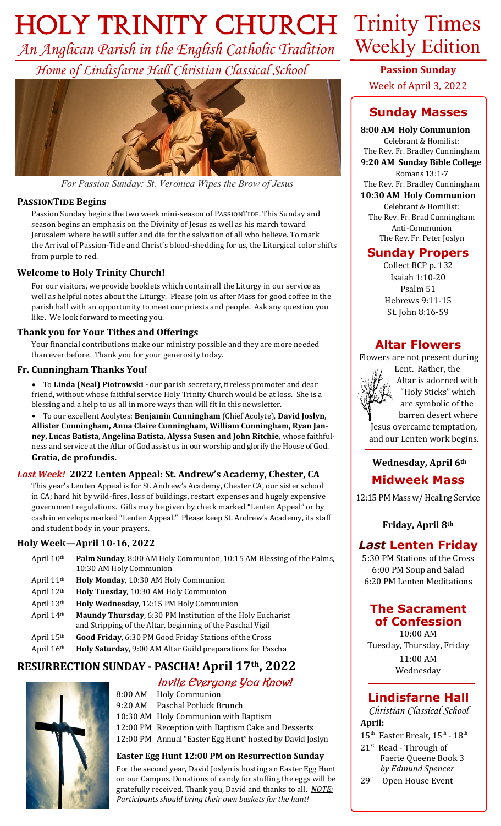# *Holy Trinity Church* Trinity Times

*An Anglican Parish in the English Catholic Tradition Home of Lindisfarne Hall Christian Classical School*



*For Passion Sunday: St. Veronica Wipes the Brow of Jesus*

#### **PASSIONTIDE Begins**

Passion Sunday begins the two week mini-season of PASSIONTIDE. This Sunday and season begins an emphasis on the Divinity of Jesus as well as his march toward Jerusalem where he will suffer and die for the salvation of all who believe. To mark the Arrival of Passion-Tide and Christ's blood-shedding for us, the Liturgical color shifts from purple to red.

#### **Welcome to Holy Trinity Church!**

For our visitors, we provide booklets which contain all the Liturgy in our service as well as helpful notes about the Liturgy. Please join us after Mass for good coffee in the parish hall with an opportunity to meet our priests and people. Ask any question you like. We look forward to meeting you.

#### **Thank you for Your Tithes and Offerings**

Your financial contributions make our ministry possible and they are more needed than ever before. Thank you for your generosity today.

#### **Fr. Cunningham Thanks You!**

• To **Linda (Neal) Piotrowski -** our parish secretary, tireless promoter and dear friend, without whose faithful service Holy Trinity Church would be at loss. She is a blessing and a help to us all in more ways than will fit in this newsletter.

• To our excellent Acolytes: **Benjamin Cunningham** (Chief Acolyte), **David Joslyn, Allister Cunningham, Anna Claire Cunningham, William Cunningham, Ryan Janney, Lucas Batista, Angelina Batista, Alyssa Susen and John Ritchie,** whose faithfulness and service at the Altar of God assist us in our worship and glorify the House of God. **Gratia, de profundis.** 

#### *Last Week!* **2022 Lenten Appeal: St. Andrew's Academy, Chester, CA**

This year's Lenten Appeal is for St. Andrew's Academy, Chester CA, our sister school in CA; hard hit by wild-fires, loss of buildings, restart expenses and hugely expensive government regulations. Gifts may be given by check marked "Lenten Appeal" or by cash in envelops marked "Lenten Appeal." Please keep St. Andrew's Academy, its staff and student body in your prayers.

#### **Holy Week—April 10-16, 2022**

| April 10 <sup>th</sup> | Palm Sunday, 8:00 AM Holy Communion, 10:15 AM Blessing of the Palms,<br>10:30 AM Holy Communion                          |
|------------------------|--------------------------------------------------------------------------------------------------------------------------|
| April 11 <sup>th</sup> | Holy Monday, 10:30 AM Holy Communion                                                                                     |
| April 12th             | Holy Tuesday, 10:30 AM Holy Communion                                                                                    |
| April 13th             | Holy Wednesday, 12:15 PM Holy Communion                                                                                  |
| April 14th             | Maundy Thursday, 6:30 PM Institution of the Holy Eucharist<br>and Stripping of the Altar, beginning of the Paschal Vigil |
| April 15th             | Good Friday, 6:30 PM Good Friday Stations of the Cross                                                                   |
| April 16th             | Holy Saturday, 9:00 AM Altar Guild preparations for Pascha                                                               |
|                        |                                                                                                                          |

## **RESURRECTION SUNDAY - PASCHA! April 17th, 2022**

#### Invite Everyone You Know!



8:00 AM Holy Communion 9:20 AM Paschal Potluck Brunch

10:30 AM Holy Communion with Baptism

12:00 PM Reception with Baptism Cake and Desserts

12:00 PM Annual "Easter Egg Hunt" hosted by David Joslyn

#### **Easter Egg Hunt 12:00 PM on Resurrection Sunday**

For the second year, David Joslyn is hosting an Easter Egg Hunt on our Campus. Donations of candy for stuffing the eggs will be gratefully received. Thank you, David and thanks to all. *NOTE: Participants should bring their own baskets for the hunt!*

# Weekly Edition

**Passion Sunday** Week of April 3, 2022

# **Sunday Masses**

**8:00 AM Holy Communion**

Celebrant & Homilist: The Rev. Fr. Bradley Cunningham **9:20 AM Sunday Bible College** Romans 13:1-7 The Rev. Fr. Bradley Cunningham

**10:30 AM Holy Communion**

Celebrant & Homilist: The Rev. Fr. Brad Cunningham Anti-Communion The Rev. Fr. Peter Joslyn

#### **Sunday Propers**

Collect BCP p. 132 Isaiah 1:10-20 Psalm 51 Hebrews 9:11-15 St. John 8:16-59

#### **Altar Flowers**

 Flowers are not present during Lent. Rather, the



 Altar is adorned with "Holy Sticks" which are symbolic of the barren desert where Jesus overcame temptation, and our Lenten work begins.

# **Wednesday, April 6th**

## **Midweek Mass**

12:15 PM Mass w/ Healing Service

**Friday, April 8th**

## *Last* **Lenten Friday**

5:30 PM Stations of the Cross 6:00 PM Soup and Salad 6:20 PM Lenten Meditations

# **The Sacrament of Confession**

10:00 AM Tuesday, Thursday, Friday 11:00 AM Wednesday

# **Lindisfarne Hall**

*Christian Classical School* **April:**

- $15^{\text{th}}$  Easter Break,  $15^{\text{th}}$   $18^{\text{th}}$
- $21<sup>st</sup>$  Read Through of Faerie Queene Book 3 *by Edmund Spencer*
- 29th Open House Event